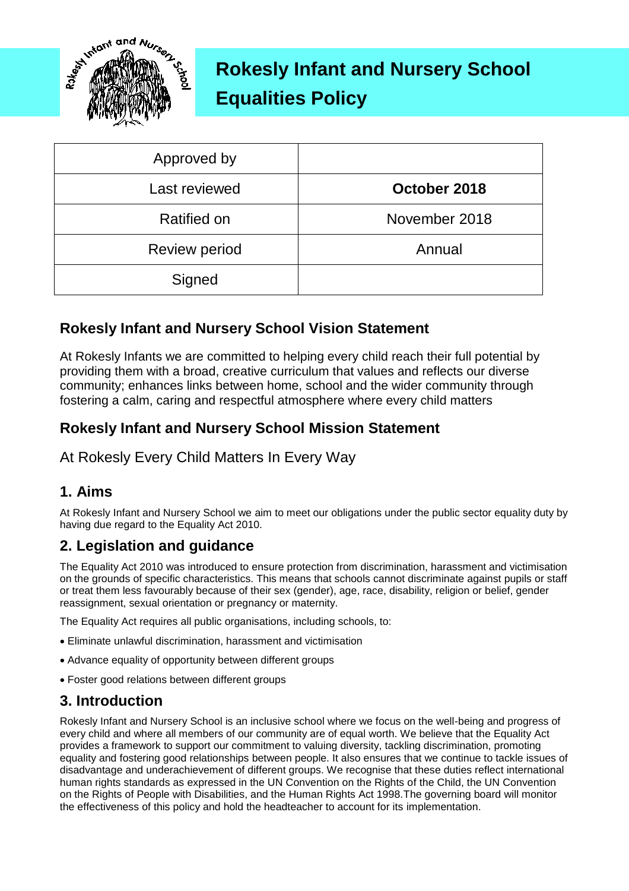

# **Rokesly Infant and Nursery School Equalities Policy**

| Approved by          |               |
|----------------------|---------------|
| Last reviewed        | October 2018  |
| <b>Ratified on</b>   | November 2018 |
| <b>Review period</b> | Annual        |
| Signed               |               |

## **Rokesly Infant and Nursery School Vision Statement**

At Rokesly Infants we are committed to helping every child reach their full potential by providing them with a broad, creative curriculum that values and reflects our diverse community; enhances links between home, school and the wider community through fostering a calm, caring and respectful atmosphere where every child matters

#### **Rokesly Infant and Nursery School Mission Statement**

At Rokesly Every Child Matters In Every Way

#### **1. Aims**

At Rokesly Infant and Nursery School we aim to meet our obligations under the public sector equality duty by having due regard to the Equality Act 2010.

## **2. Legislation and guidance**

The Equality Act 2010 was introduced to ensure protection from discrimination, harassment and victimisation on the grounds of specific characteristics. This means that schools cannot discriminate against pupils or staff or treat them less favourably because of their sex (gender), age, race, disability, religion or belief, gender reassignment, sexual orientation or pregnancy or maternity.

The Equality Act requires all public organisations, including schools, to:

- Eliminate unlawful discrimination, harassment and victimisation
- Advance equality of opportunity between different groups
- Foster good relations between different groups

#### **3. Introduction**

Rokesly Infant and Nursery School is an inclusive school where we focus on the well-being and progress of every child and where all members of our community are of equal worth. We believe that the Equality Act provides a framework to support our commitment to valuing diversity, tackling discrimination, promoting equality and fostering good relationships between people. It also ensures that we continue to tackle issues of disadvantage and underachievement of different groups. We recognise that these duties reflect international human rights standards as expressed in the UN Convention on the Rights of the Child, the UN Convention on the Rights of People with Disabilities, and the Human Rights Act 1998.The governing board will monitor the effectiveness of this policy and hold the headteacher to account for its implementation.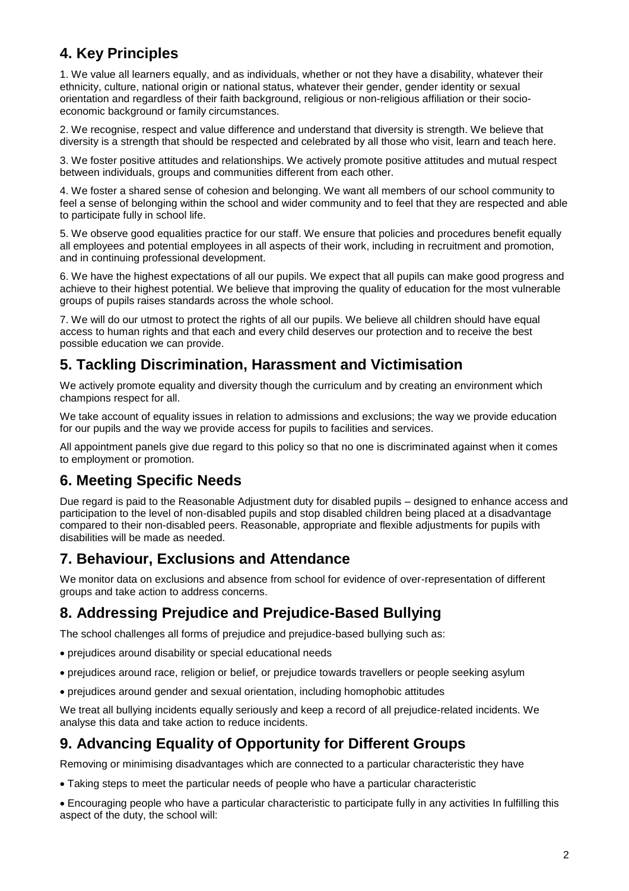# **4. Key Principles**

1. We value all learners equally, and as individuals, whether or not they have a disability, whatever their ethnicity, culture, national origin or national status, whatever their gender, gender identity or sexual orientation and regardless of their faith background, religious or non-religious affiliation or their socioeconomic background or family circumstances.

2. We recognise, respect and value difference and understand that diversity is strength. We believe that diversity is a strength that should be respected and celebrated by all those who visit, learn and teach here.

3. We foster positive attitudes and relationships. We actively promote positive attitudes and mutual respect between individuals, groups and communities different from each other.

4. We foster a shared sense of cohesion and belonging. We want all members of our school community to feel a sense of belonging within the school and wider community and to feel that they are respected and able to participate fully in school life.

5. We observe good equalities practice for our staff. We ensure that policies and procedures benefit equally all employees and potential employees in all aspects of their work, including in recruitment and promotion, and in continuing professional development.

6. We have the highest expectations of all our pupils. We expect that all pupils can make good progress and achieve to their highest potential. We believe that improving the quality of education for the most vulnerable groups of pupils raises standards across the whole school.

7. We will do our utmost to protect the rights of all our pupils. We believe all children should have equal access to human rights and that each and every child deserves our protection and to receive the best possible education we can provide.

#### **5. Tackling Discrimination, Harassment and Victimisation**

We actively promote equality and diversity though the curriculum and by creating an environment which champions respect for all.

We take account of equality issues in relation to admissions and exclusions; the way we provide education for our pupils and the way we provide access for pupils to facilities and services.

All appointment panels give due regard to this policy so that no one is discriminated against when it comes to employment or promotion.

#### **6. Meeting Specific Needs**

Due regard is paid to the Reasonable Adjustment duty for disabled pupils – designed to enhance access and participation to the level of non-disabled pupils and stop disabled children being placed at a disadvantage compared to their non-disabled peers. Reasonable, appropriate and flexible adjustments for pupils with disabilities will be made as needed.

#### **7. Behaviour, Exclusions and Attendance**

We monitor data on exclusions and absence from school for evidence of over-representation of different groups and take action to address concerns.

#### **8. Addressing Prejudice and Prejudice-Based Bullying**

The school challenges all forms of prejudice and prejudice-based bullying such as:

- prejudices around disability or special educational needs
- prejudices around race, religion or belief, or prejudice towards travellers or people seeking asylum
- prejudices around gender and sexual orientation, including homophobic attitudes

We treat all bullying incidents equally seriously and keep a record of all prejudice-related incidents. We analyse this data and take action to reduce incidents.

## **9. Advancing Equality of Opportunity for Different Groups**

Removing or minimising disadvantages which are connected to a particular characteristic they have

Taking steps to meet the particular needs of people who have a particular characteristic

 Encouraging people who have a particular characteristic to participate fully in any activities In fulfilling this aspect of the duty, the school will: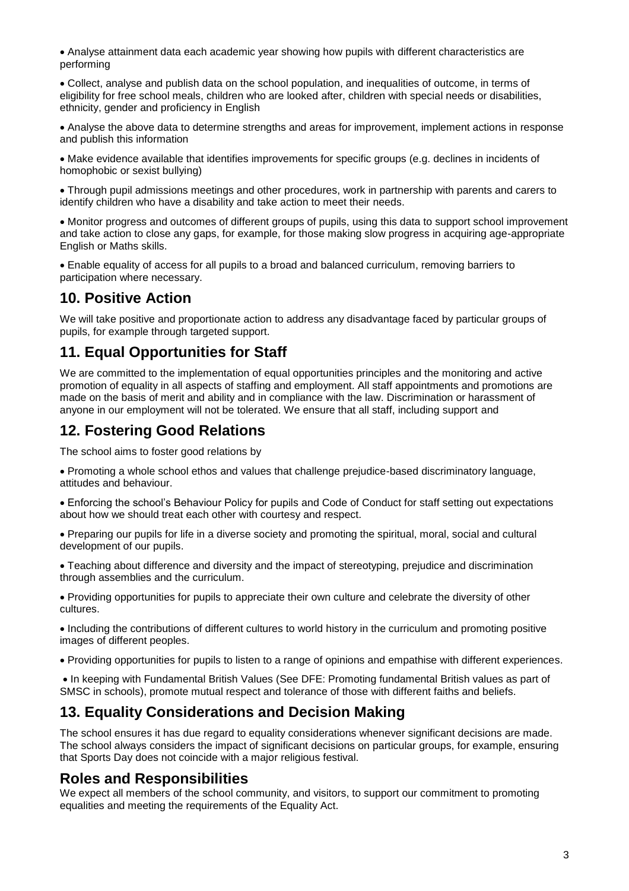Analyse attainment data each academic year showing how pupils with different characteristics are performing

 Collect, analyse and publish data on the school population, and inequalities of outcome, in terms of eligibility for free school meals, children who are looked after, children with special needs or disabilities, ethnicity, gender and proficiency in English

 Analyse the above data to determine strengths and areas for improvement, implement actions in response and publish this information

 Make evidence available that identifies improvements for specific groups (e.g. declines in incidents of homophobic or sexist bullying)

 Through pupil admissions meetings and other procedures, work in partnership with parents and carers to identify children who have a disability and take action to meet their needs.

 Monitor progress and outcomes of different groups of pupils, using this data to support school improvement and take action to close any gaps, for example, for those making slow progress in acquiring age-appropriate English or Maths skills.

 Enable equality of access for all pupils to a broad and balanced curriculum, removing barriers to participation where necessary.

#### **10. Positive Action**

We will take positive and proportionate action to address any disadvantage faced by particular groups of pupils, for example through targeted support.

#### **11. Equal Opportunities for Staff**

We are committed to the implementation of equal opportunities principles and the monitoring and active promotion of equality in all aspects of staffing and employment. All staff appointments and promotions are made on the basis of merit and ability and in compliance with the law. Discrimination or harassment of anyone in our employment will not be tolerated. We ensure that all staff, including support and

#### **12. Fostering Good Relations**

The school aims to foster good relations by

 Promoting a whole school ethos and values that challenge prejudice-based discriminatory language, attitudes and behaviour.

 Enforcing the school's Behaviour Policy for pupils and Code of Conduct for staff setting out expectations about how we should treat each other with courtesy and respect.

 Preparing our pupils for life in a diverse society and promoting the spiritual, moral, social and cultural development of our pupils.

 Teaching about difference and diversity and the impact of stereotyping, prejudice and discrimination through assemblies and the curriculum.

 Providing opportunities for pupils to appreciate their own culture and celebrate the diversity of other cultures.

 Including the contributions of different cultures to world history in the curriculum and promoting positive images of different peoples.

Providing opportunities for pupils to listen to a range of opinions and empathise with different experiences.

 In keeping with Fundamental British Values (See DFE: Promoting fundamental British values as part of SMSC in schools), promote mutual respect and tolerance of those with different faiths and beliefs.

#### **13. Equality Considerations and Decision Making**

The school ensures it has due regard to equality considerations whenever significant decisions are made. The school always considers the impact of significant decisions on particular groups, for example, ensuring that Sports Day does not coincide with a major religious festival.

#### **Roles and Responsibilities**

We expect all members of the school community, and visitors, to support our commitment to promoting equalities and meeting the requirements of the Equality Act.